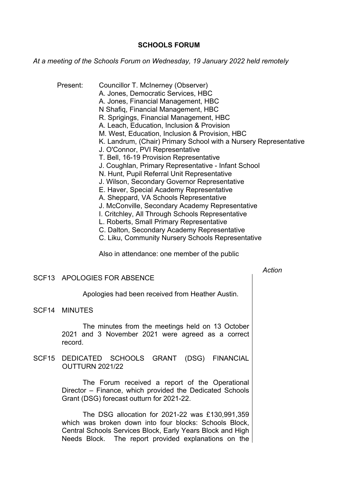## **SCHOOLS FORUM**

*At a meeting of the Schools Forum on Wednesday, 19 January 2022 held remotely*

- Present: Councillor T. McInerney (Observer) A. Jones, Democratic Services, HBC A. Jones, Financial Management, HBC N Shafiq, Financial Management, HBC R. Sprigings, Financial Management, HBC A. Leach, Education, Inclusion & Provision M. West, Education, Inclusion & Provision, HBC K. Landrum, (Chair) Primary School with a Nursery Representative J. O'Connor, PVI Representative T. Bell, 16-19 Provision Representative J. Coughlan, Primary Representative - Infant School N. Hunt, Pupil Referral Unit Representative J. Wilson, Secondary Governor Representative E. Haver, Special Academy Representative A. Sheppard, VA Schools Representative J. McConville, Secondary Academy Representative I. Critchley, All Through Schools Representative L. Roberts, Small Primary Representative C. Dalton, Secondary Academy Representative
	- C. Liku, Community Nursery Schools Representative

Also in attendance: one member of the public

## *Action*

## SCF13 APOLOGIES FOR ABSENCE

Apologies had been received from Heather Austin.

SCF14 MINUTES

The minutes from the meetings held on 13 October 2021 and 3 November 2021 were agreed as a correct record.

SCF15 DEDICATED SCHOOLS GRANT (DSG) FINANCIAL OUTTURN 2021/22

> The Forum received a report of the Operational Director – Finance, which provided the Dedicated Schools Grant (DSG) forecast outturn for 2021-22.

> The DSG allocation for 2021-22 was £130,991,359 which was broken down into four blocks: Schools Block, Central Schools Services Block, Early Years Block and High Needs Block. The report provided explanations on the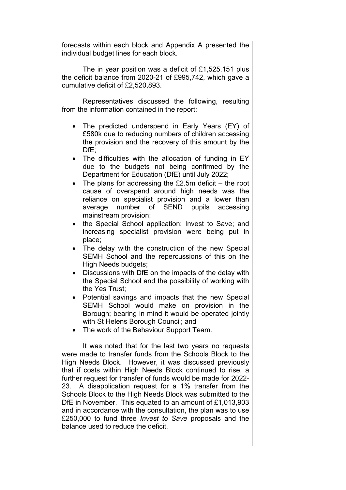forecasts within each block and Appendix A presented the individual budget lines for each block.

The in year position was a deficit of £1,525,151 plus the deficit balance from 2020-21 of £995,742, which gave a cumulative deficit of £2,520,893.

Representatives discussed the following, resulting from the information contained in the report:

- The predicted underspend in Early Years (EY) of £580k due to reducing numbers of children accessing the provision and the recovery of this amount by the DfE;
- The difficulties with the allocation of funding in EY due to the budgets not being confirmed by the Department for Education (DfE) until July 2022;
- $\bullet$  The plans for addressing the £2.5m deficit the root cause of overspend around high needs was the reliance on specialist provision and a lower than average number of SEND pupils accessing mainstream provision;
- the Special School application; Invest to Save; and increasing specialist provision were being put in place;
- The delay with the construction of the new Special SEMH School and the repercussions of this on the High Needs budgets;
- Discussions with DfE on the impacts of the delay with the Special School and the possibility of working with the Yes Trust;
- Potential savings and impacts that the new Special SEMH School would make on provision in the Borough; bearing in mind it would be operated jointly with St Helens Borough Council; and
- The work of the Behaviour Support Team.

It was noted that for the last two years no requests were made to transfer funds from the Schools Block to the High Needs Block. However, it was discussed previously that if costs within High Needs Block continued to rise, a further request for transfer of funds would be made for 2022- 23. A disapplication request for a 1% transfer from the Schools Block to the High Needs Block was submitted to the DfE in November. This equated to an amount of £1,013,903 and in accordance with the consultation, the plan was to use £250,000 to fund three *Invest to Save* proposals and the balance used to reduce the deficit.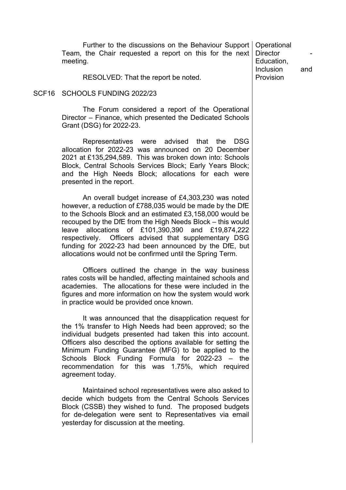Further to the discussions on the Behaviour Support Operational Team, the Chair requested a report on this for the next meeting.

RESOLVED: That the report be noted.

## SCF16 SCHOOLS FUNDING 2022/23

The Forum considered a report of the Operational Director – Finance, which presented the Dedicated Schools Grant (DSG) for 2022-23.

Representatives were advised that the DSG allocation for 2022-23 was announced on 20 December 2021 at £135,294,589. This was broken down into: Schools Block, Central Schools Services Block; Early Years Block; and the High Needs Block; allocations for each were presented in the report.

An overall budget increase of £4,303,230 was noted however, a reduction of £788,035 would be made by the DfE to the Schools Block and an estimated £3,158,000 would be recouped by the DfE from the High Needs Block – this would leave allocations of £101,390,390 and £19,874,222 respectively. Officers advised that supplementary DSG funding for 2022-23 had been announced by the DfE, but allocations would not be confirmed until the Spring Term.

Officers outlined the change in the way business rates costs will be handled, affecting maintained schools and academies. The allocations for these were included in the figures and more information on how the system would work in practice would be provided once known.

It was announced that the disapplication request for the 1% transfer to High Needs had been approved; so the individual budgets presented had taken this into account. Officers also described the options available for setting the Minimum Funding Guarantee (MFG) to be applied to the Schools Block Funding Formula for 2022-23 – the recommendation for this was 1.75%, which required agreement today.

Maintained school representatives were also asked to decide which budgets from the Central Schools Services Block (CSSB) they wished to fund. The proposed budgets for de-delegation were sent to Representatives via email yesterday for discussion at the meeting.

Director Education, Inclusion and Provision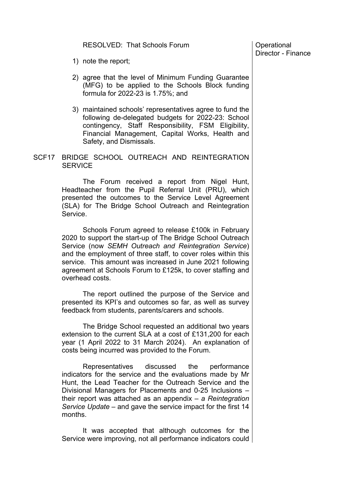RESOLVED: That Schools Forum

**Operational** Director - Finance

- 1) note the report;
- 2) agree that the level of Minimum Funding Guarantee (MFG) to be applied to the Schools Block funding formula for 2022-23 is 1.75%; and
- 3) maintained schools' representatives agree to fund the following de-delegated budgets for 2022-23: School contingency, Staff Responsibility, FSM Eligibility, Financial Management, Capital Works, Health and Safety, and Dismissals.
- SCF17 BRIDGE SCHOOL OUTREACH AND REINTEGRATION **SERVICE**

The Forum received a report from Nigel Hunt, Headteacher from the Pupil Referral Unit (PRU), which presented the outcomes to the Service Level Agreement (SLA) for The Bridge School Outreach and Reintegration Service.

Schools Forum agreed to release £100k in February 2020 to support the start-up of The Bridge School Outreach Service (now *SEMH Outreach and Reintegration Service*) and the employment of three staff, to cover roles within this service. This amount was increased in June 2021 following agreement at Schools Forum to £125k, to cover staffing and overhead costs.

The report outlined the purpose of the Service and presented its KPI's and outcomes so far, as well as survey feedback from students, parents/carers and schools.

The Bridge School requested an additional two years extension to the current SLA at a cost of £131,200 for each year (1 April 2022 to 31 March 2024). An explanation of costs being incurred was provided to the Forum.

Representatives discussed the performance indicators for the service and the evaluations made by Mr Hunt, the Lead Teacher for the Outreach Service and the Divisional Managers for Placements and 0-25 Inclusions – their report was attached as an appendix – *a Reintegration Service Update* – and gave the service impact for the first 14 months.

It was accepted that although outcomes for the Service were improving, not all performance indicators could